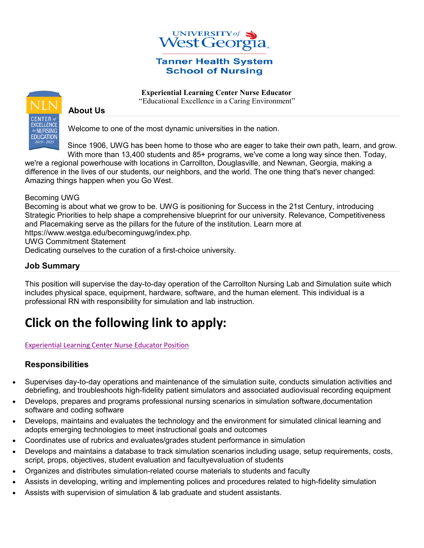

#### **Tanner Health System School of Nursing**

 **Experiential Learning Center Nurse Educator** "Educational Excellence in a Caring Environment"



## **About Us**

Welcome to one of the most dynamic universities in the nation.

Since 1906, UWG has been home to those who are eager to take their own path, learn, and grow. With more than 13,400 students and 85+ programs, we've come a long way since then. Today,

we're a regional powerhouse with locations in Carrollton, Douglasville, and Newnan, Georgia, making a difference in the lives of our students, our neighbors, and the world. The one thing that's never changed: Amazing things happen when you Go West.

Becoming UWG

Becoming is about what we grow to be. UWG is positioning for Success in the 21st Century, introducing Strategic Priorities to help shape a comprehensive blueprint for our university. Relevance, Competitiveness and Placemaking serve as the pillars for the future of the institution. Learn more at

https://www.westga.edu/becominguwg/index.php.

UWG Commitment Statement

Dedicating ourselves to the curation of a first-choice university.

#### **Job Summary**

This position will supervise the day-to-day operation of the Carrollton Nursing Lab and Simulation suite which includes physical space, equipment, hardware, software, and the human element. This individual is a professional RN with responsibility for simulation and lab instruction.

# **Click on the following link to apply:**

Experiential [Learning Center Nurse Educator Position](https://careers.hprod.onehcm.usg.edu/psp/careers/CAREERS/HRMS/c/HRS_HRAM_FL.HRS_CG_SEARCH_FL.GBL?Page=HRS_APP_JBPST_FL&Action=U&FOCUS=Applicant&SiteId=54000&JobOpeningId=238733&PostingSeq=1)

#### **Responsibilities**

- Supervises day-to-day operations and maintenance of the simulation suite, conducts simulation activities and debriefing, and troubleshoots high-fidelity patient simulators and associated audiovisual recording equipment
- Develops, prepares and programs professional nursing scenarios in simulation software,documentation software and coding software
- Develops, maintains and evaluates the technology and the environment for simulated clinical learning and adopts emerging technologies to meet instructional goals and outcomes
- Coordinates use of rubrics and evaluates/grades student performance in simulation
- Develops and maintains a database to track simulation scenarios including usage, setup requirements, costs, script, props, objectives, student evaluation and facultyevaluation of students
- Organizes and distributes simulation-related course materials to students and faculty
- Assists in developing, writing and implementing polices and procedures related to high-fidelity simulation
- Assists with supervision of simulation & lab graduate and student assistants.